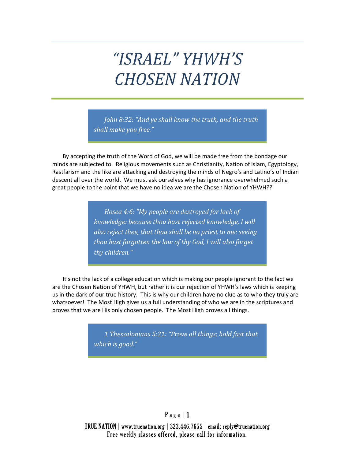# *"ISRAEL" YHWH'S CHOSEN NATION*

*John 8:32: "And ye shall know the truth, and the truth shall make you free."*

By accepting the truth of the Word of God, we will be made free from the bondage our minds are subjected to. Religious movements such as Christianity, Nation of Islam, Egyptology, Rastfarism and the like are attacking and destroying the minds of Negro's and Latino's of Indian descent all over the world. We must ask ourselves why has ignorance overwhelmed such a great people to the point that we have no idea we are the Chosen Nation of YHWH??

> *Hosea 4:6: "My people are destroyed for lack of knowledge: because thou hast rejected knowledge, I will also reject thee, that thou shall be no priest to me: seeing thou hast forgotten the law of thy God, I will also forget thy children."*

It's not the lack of a college education which is making our people ignorant to the fact we are the Chosen Nation of YHWH, but rather it is our rejection of YHWH's laws which is keeping us in the dark of our true history. This is why our children have no clue as to who they truly are whatsoever! The Most High gives us a full understanding of who we are in the scriptures and proves that we are His only chosen people. The Most High proves all things.

> *1 Thessalonians 5:21: "Prove all things; hold fast that which is good."*

## $P$  a g e  $|1$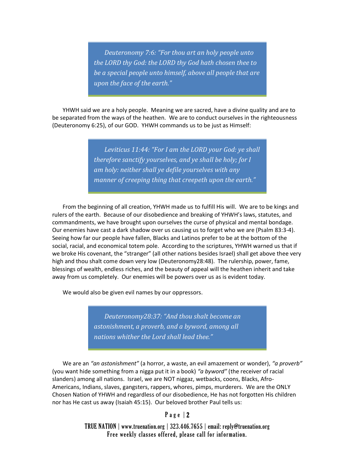*Deuteronomy 7:6: "For thou art an holy people unto the LORD thy God: the LORD thy God hath chosen thee to be a special people unto himself, above all people that are upon the face of the earth."*

YHWH said we are a holy people. Meaning we are sacred, have a divine quality and are to be separated from the ways of the heathen. We are to conduct ourselves in the righteousness (Deuteronomy 6:25), of our GOD. YHWH commands us to be just as Himself:

> *Leviticus 11:44: "For I am the LORD your God: ye shall therefore sanctify yourselves, and ye shall be holy; for I am holy: neither shall ye defile yourselves with any manner of creeping thing that creepeth upon the earth."*

From the beginning of all creation, YHWH made us to fulfill His will. We are to be kings and rulers of the earth. Because of our disobedience and breaking of YHWH's laws, statutes, and commandments, we have brought upon ourselves the curse of physical and mental bondage. Our enemies have cast a dark shadow over us causing us to forget who we are (Psalm 83:3-4). Seeing how far our people have fallen, Blacks and Latinos prefer to be at the bottom of the social, racial, and economical totem pole. According to the scriptures, YHWH warned us that if we broke His covenant, the "stranger" (all other nations besides Israel) shall get above thee very high and thou shalt come down very low (Deuteronomy28:48). The rulership, power, fame, blessings of wealth, endless riches, and the beauty of appeal will the heathen inherit and take away from us completely. Our enemies will be powers over us as is evident today.

We would also be given evil names by our oppressors.

*Deuteronomy28:37: "And thou shalt become an astonishment, a proverb, and a byword, among all nations whither the Lord shall lead thee."*

We are an *"an astonishment"* (a horror, a waste, an evil amazement or wonder), *"a proverb"* (you want hide something from a nigga put it in a book) *"a byword"* (the receiver of racial slanders) among all nations. Israel, we are NOT niggaz, wetbacks, coons, Blacks, Afro-Americans, Indians, slaves, gangsters, rappers, whores, pimps, murderers. We are the ONLY Chosen Nation of YHWH and regardless of our disobedience, He has not forgotten His children nor has He cast us away (Isaiah 45:15). Our beloved brother Paul tells us:

 $P$  a g e  $|2$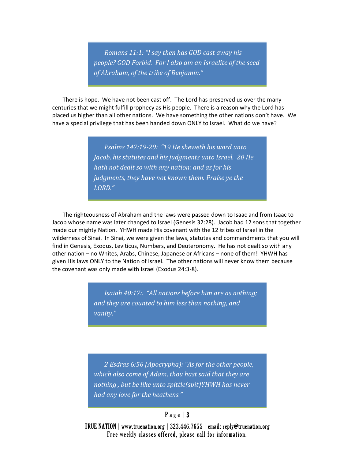*Romans 11:1: "I say then has GOD cast away his people? GOD Forbid. For I also am an Israelite of the seed of Abraham, of the tribe of Benjamin."*

There is hope. We have not been cast off. The Lord has preserved us over the many centuries that we might fulfill prophecy as His people. There is a reason why the Lord has placed us higher than all other nations. We have something the other nations don't have. We have a special privilege that has been handed down ONLY to Israel. What do we have?

> *Psalms 147:19-20: "19 He sheweth his word unto Jacob, his statutes and his judgments unto Israel. 20 He hath not dealt so with any nation: and as for his judgments, they have not known them. Praise ye the LORD."*

The righteousness of Abraham and the laws were passed down to Isaac and from Isaac to Jacob whose name was later changed to Israel (Genesis 32:28). Jacob had 12 sons that together made our mighty Nation. YHWH made His covenant with the 12 tribes of Israel in the wilderness of Sinai. In Sinai, we were given the laws, statutes and commandments that you will find in Genesis, Exodus, Leviticus, Numbers, and Deuteronomy. He has not dealt so with any other nation – no Whites, Arabs, Chinese, Japanese or Africans – none of them! YHWH has given His laws ONLY to the Nation of Israel. The other nations will never know them because the covenant was only made with Israel (Exodus 24:3-8).

> *Isaiah 40:17:. "All nations before him are as nothing; and they are counted to him less than nothing, and vanity."*

*2 Esdras 6:56 (Apocrypha): "As for the other people, which also come of Adam, thou hast said that they are nothing , but be like unto spittle(spit)YHWH has never had any love for the heathens."*

#### Page  $|3$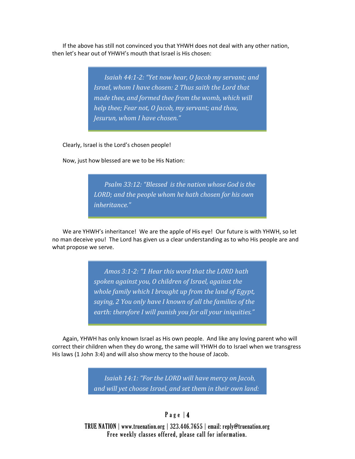If the above has still not convinced you that YHWH does not deal with any other nation, then let's hear out of YHWH's mouth that Israel is His chosen:

> *Isaiah 44:1-2: "Yet now hear, O Jacob my servant; and Israel, whom I have chosen: 2 Thus saith the Lord that made thee, and formed thee from the womb, which will help thee; Fear not, O Jacob, my servant; and thou, Jesurun, whom I have chosen."*

Clearly, Israel is the Lord's chosen people!

Now, just how blessed are we to be His Nation:

*Psalm 33:12: "Blessed is the nation whose God is the LORD; and the people whom he hath chosen for his own inheritance."*

We are YHWH's inheritance! We are the apple of His eye! Our future is with YHWH, so let no man deceive you! The Lord has given us a clear understanding as to who His people are and what propose we serve.

> *Amos 3:1-2: "1 Hear this word that the LORD hath spoken against you, O children of Israel, against the whole family which I brought up from the land of Egypt, saying, 2 You only have I known of all the families of the earth: therefore I will punish you for all your iniquities."*

Again, YHWH has only known Israel as His own people. And like any loving parent who will correct their children when they do wrong, the same will YHWH do to Israel when we transgress His laws (1 John 3:4) and will also show mercy to the house of Jacob.

> *Isaiah 14:1: "For the LORD will have mercy on Jacob, and will yet choose Israel, and set them in their own land:*

### Page  $|4$